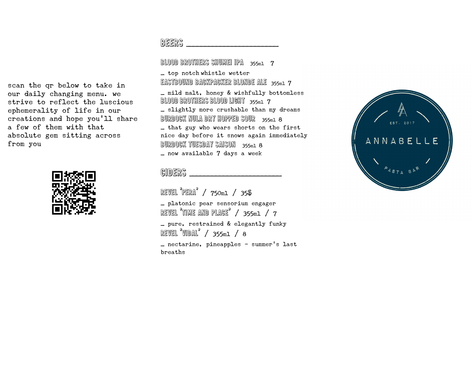scan the qr below to take in our daily changing menu. we strive to reflect the luscious ephemerality of life in our creations and hope you'll share a few of them with that absolute gem sitting across from you



 $B$ EERS

BLOOD BROTHERS SHUMEI IPA  $_3$ 55ml  $_7$ 

\_ top notch\whistle wetter EASTBOUND BACKPACKER BLONDE ALE  $_{355m1}$  7 \_ mild malt, honey & wishfully bottomless **BLOOD BROTHERS BLOOD LIGHT**  $355m1$   $7$ \_ slightly more crushable than my dreams Burdock nula dry hopped sour / 355ml 8 \_ that guy who wears shorts on the first nice day before it snows again immediately Burdock tuesday saison / 355ml 8 \_ now available 7 days a week

## ciders \_\_\_\_\_\_\_\_\_\_\_\_\_\_\_\_\_\_\_\_\_\_\_\_

revel 'pera' / 750ml / 35\$ \_ platonic pear sensorium engager REVEL  $^{\circ}$ TIME AND PLACE $^{\circ}$  / 355ml / 7 \_ pure, restrained & elegantly funky REVEL  $W$ DAL $'$  / 355ml / 8 \_ nectarine, pineapples - summer's last breaths